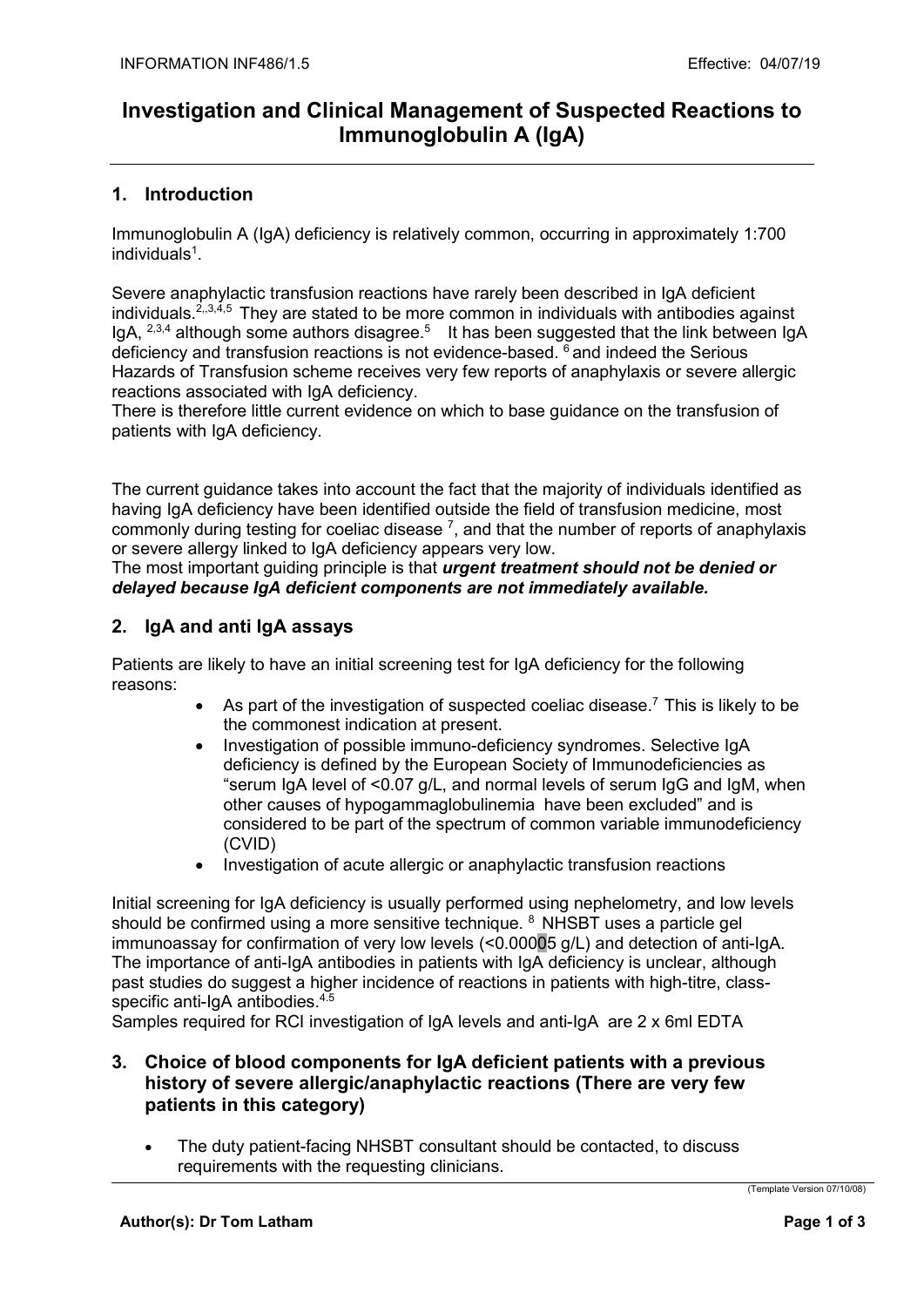# Investigation and Clinical Management of Suspected Reactions to Immunoglobulin A (IgA)

## 1. Introduction

Immunoglobulin A (IgA) deficiency is relatively common, occurring in approximately 1:700 individuals<sup>1</sup>.

Severe anaphylactic transfusion reactions have rarely been described in IgA deficient individuals.<sup>2,,3,4,5</sup> They are stated to be more common in individuals with antibodies against IgA,  $2,3,4$  although some authors disagree.<sup>5</sup> It has been suggested that the link between IgA deficiency and transfusion reactions is not evidence-based.  $\delta$  and indeed the Serious Hazards of Transfusion scheme receives very few reports of anaphylaxis or severe allergic reactions associated with IgA deficiency.

There is therefore little current evidence on which to base guidance on the transfusion of patients with IgA deficiency.

The current guidance takes into account the fact that the majority of individuals identified as having IgA deficiency have been identified outside the field of transfusion medicine, most commonly during testing for coeliac disease  $^7$ , and that the number of reports of anaphylaxis or severe allergy linked to IgA deficiency appears very low.

The most important guiding principle is that *urgent treatment should not be denied or* delayed because IgA deficient components are not immediately available.

## 2. IgA and anti IgA assays

Patients are likely to have an initial screening test for IgA deficiency for the following reasons:

- As part of the investigation of suspected coeliac disease.<sup>7</sup> This is likely to be the commonest indication at present.
- Investigation of possible immuno-deficiency syndromes. Selective IgA deficiency is defined by the European Society of Immunodeficiencies as "serum IgA level of <0.07 g/L, and normal levels of serum IgG and IgM, when other causes of hypogammaglobulinemia have been excluded" and is considered to be part of the spectrum of common variable immunodeficiency (CVID)
- Investigation of acute allergic or anaphylactic transfusion reactions

Initial screening for IgA deficiency is usually performed using nephelometry, and low levels should be confirmed using a more sensitive technique. <sup>8</sup> NHSBT uses a particle gel immunoassay for confirmation of very low levels (<0.00005 g/L) and detection of anti-IgA. The importance of anti-IgA antibodies in patients with IgA deficiency is unclear, although past studies do suggest a higher incidence of reactions in patients with high-titre, classspecific anti-IgA antibodies.<sup>4.5</sup>

Samples required for RCI investigation of IgA levels and anti-IgA are 2 x 6ml EDTA

### 3. Choice of blood components for IgA deficient patients with a previous history of severe allergic/anaphylactic reactions (There are very few patients in this category)

 The duty patient-facing NHSBT consultant should be contacted, to discuss requirements with the requesting clinicians.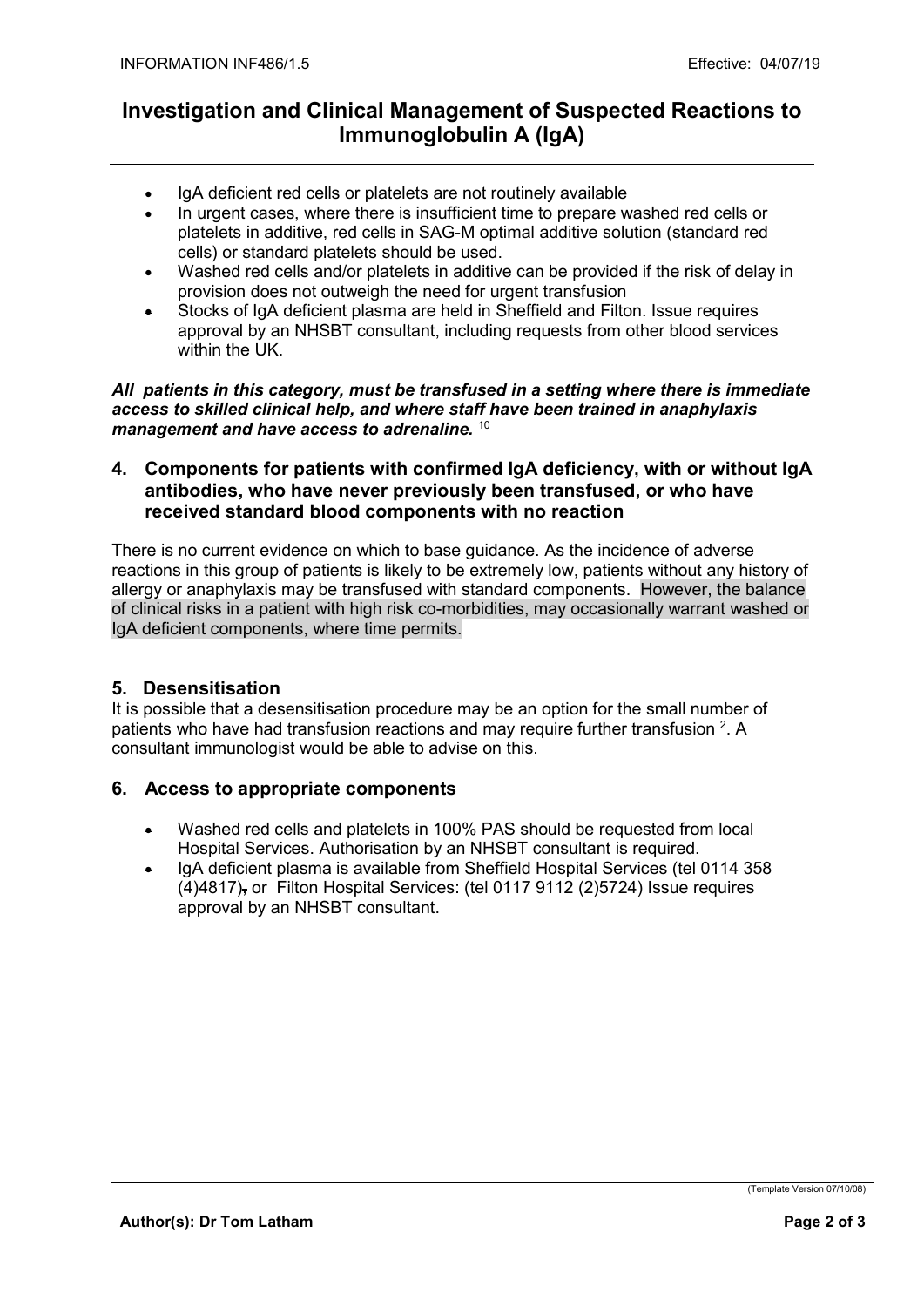# Investigation and Clinical Management of Suspected Reactions to Immunoglobulin A (IgA)

- IgA deficient red cells or platelets are not routinely available
- In urgent cases, where there is insufficient time to prepare washed red cells or platelets in additive, red cells in SAG-M optimal additive solution (standard red cells) or standard platelets should be used.
- Washed red cells and/or platelets in additive can be provided if the risk of delay in provision does not outweigh the need for urgent transfusion
- Stocks of IgA deficient plasma are held in Sheffield and Filton. Issue requires approval by an NHSBT consultant, including requests from other blood services within the UK.

All patients in this category, must be transfused in a setting where there is immediate access to skilled clinical help, and where staff have been trained in anaphylaxis management and have access to adrenaline. 10

#### 4. Components for patients with confirmed IgA deficiency, with or without IgA antibodies, who have never previously been transfused, or who have received standard blood components with no reaction

There is no current evidence on which to base guidance. As the incidence of adverse reactions in this group of patients is likely to be extremely low, patients without any history of allergy or anaphylaxis may be transfused with standard components. However, the balance of clinical risks in a patient with high risk co-morbidities, may occasionally warrant washed or IgA deficient components, where time permits.

## 5. Desensitisation

It is possible that a desensitisation procedure may be an option for the small number of patients who have had transfusion reactions and may require further transfusion  $2$ . A consultant immunologist would be able to advise on this.

## 6. Access to appropriate components

- Washed red cells and platelets in 100% PAS should be requested from local Hospital Services. Authorisation by an NHSBT consultant is required.
- IgA deficient plasma is available from Sheffield Hospital Services (tel 0114 358 (4)4817), or Filton Hospital Services: (tel 0117 9112 (2)5724) Issue requires approval by an NHSBT consultant.